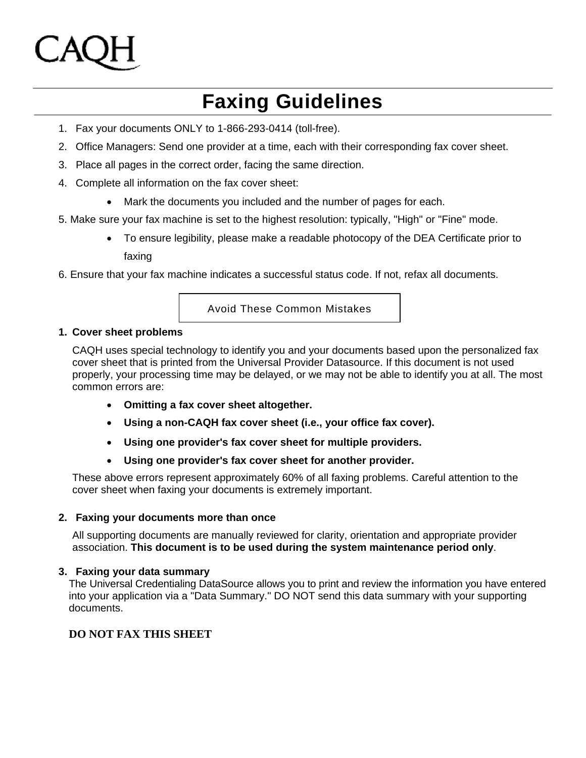# **Faxing Guidelines**

- 1. Fax your documents ONLY to 1-866-293-0414 (toll-free).
- 2. Office Managers: Send one provider at a time, each with their corresponding fax cover sheet.
- 3. Place all pages in the correct order, facing the same direction.
- 4. Complete all information on the fax cover sheet:
	- Mark the documents you included and the number of pages for each.
- 5. Make sure your fax machine is set to the highest resolution: typically, "High" or "Fine" mode.
	- To ensure legibility, please make a readable photocopy of the DEA Certificate prior to faxing
- 6. Ensure that your fax machine indicates a successful status code. If not, refax all documents.

Avoid These Common Mistakes

### **1. Cover sheet problems**

CAQH uses special technology to identify you and your documents based upon the personalized fax cover sheet that is printed from the Universal Provider Datasource. If this document is not used properly, your processing time may be delayed, or we may not be able to identify you at all. The most common errors are:

- **Omitting a fax cover sheet altogether.**
- **Using a non-CAQH fax cover sheet (i.e., your office fax cover).**
- **Using one provider's fax cover sheet for multiple providers.**
- **Using one provider's fax cover sheet for another provider.**

These above errors represent approximately 60% of all faxing problems. Careful attention to the cover sheet when faxing your documents is extremely important.

### **2. Faxing your documents more than once**

All supporting documents are manually reviewed for clarity, orientation and appropriate provider association. **This document is to be used during the system maintenance period only**.

### **3. Faxing your data summary**

The Universal Credentialing DataSource allows you to print and review the information you have entered into your application via a "Data Summary." DO NOT send this data summary with your supporting documents.

# **DO NOT FAX THIS SHEET**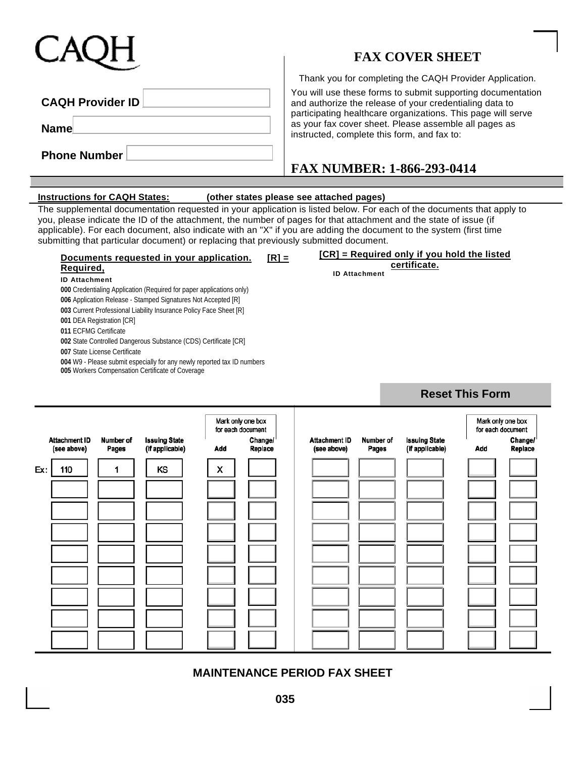# **FAX COVER SHEET**

Thank you for completing the CAQH Provider Application.

| <b>CAQH Provider ID</b> |  |  |  |  |  |  |  |  |  |
|-------------------------|--|--|--|--|--|--|--|--|--|
| <b>Name</b>             |  |  |  |  |  |  |  |  |  |
| <b>Phone Number</b>     |  |  |  |  |  |  |  |  |  |

### You will use these forms to submit supporting documentation and authorize the release of your credentialing data to participating healthcare organizations. This page will serve as your fax cover sheet. Please assemble all pages as instructed, complete this form, and fax to:

# **FAX NUMBER: 1-866-293-0414**

### **Instructions for CAQH States: (other states please see attached pages)**

The supplemental documentation requested in your application is listed below. For each of the documents that apply to you, please indicate the ID of the attachment, the number of pages for that attachment and the state of issue (if applicable). For each document, also indicate with an "X" if you are adding the document to the system (first time submitting that particular document) or replacing that previously submitted document.

### **Documents requested in your application. [R] = Required,**

### **ID Attachment**

**000** Credentialing Application (Required for paper applications only)

**006** Application Release - Stamped Signatures Not Accepted [R]

**003** Current Professional Liability Insurance Policy Face Sheet [R]

**001** DEA Registration [CR]

**011** ECFMG Certificate

**002** State Controlled Dangerous Substance (CDS) Certificate [CR]

**007** State License Certificate

**004** W9 - Please submit especially for any newly reported tax ID numbers **005** Workers Compensation Certificate of Coverage

**[CR] = Required only if you hold the listed certificate.**

**ID Attachment** 

|     |                                     |                    |                                         | Mark only one box<br>for each document |                    |  |                                     |                    |                                         | Mark only one box<br>for each document |                    |
|-----|-------------------------------------|--------------------|-----------------------------------------|----------------------------------------|--------------------|--|-------------------------------------|--------------------|-----------------------------------------|----------------------------------------|--------------------|
|     | <b>Attachment ID</b><br>(see above) | Number of<br>Pages | <b>Issuing State</b><br>(if applicable) | Add                                    | Change/<br>Replace |  | <b>Attachment ID</b><br>(see above) | Number of<br>Pages | <b>Issuing State</b><br>(if applicable) | Add                                    | Change/<br>Replace |
| Ex: | 110                                 |                    | ΚS                                      | x                                      |                    |  |                                     |                    |                                         |                                        |                    |
|     |                                     |                    |                                         |                                        |                    |  |                                     |                    |                                         |                                        |                    |
|     |                                     |                    |                                         |                                        |                    |  |                                     |                    |                                         |                                        |                    |
|     |                                     |                    |                                         |                                        |                    |  |                                     |                    |                                         |                                        |                    |
|     |                                     |                    |                                         |                                        |                    |  |                                     |                    |                                         |                                        |                    |
|     |                                     |                    |                                         |                                        |                    |  |                                     |                    |                                         |                                        |                    |
|     |                                     |                    |                                         |                                        |                    |  |                                     |                    |                                         |                                        |                    |
|     |                                     |                    |                                         |                                        |                    |  |                                     |                    |                                         |                                        |                    |
|     |                                     |                    |                                         |                                        |                    |  |                                     |                    |                                         |                                        |                    |

**MAINTENANCE PERIOD FAX SHEET**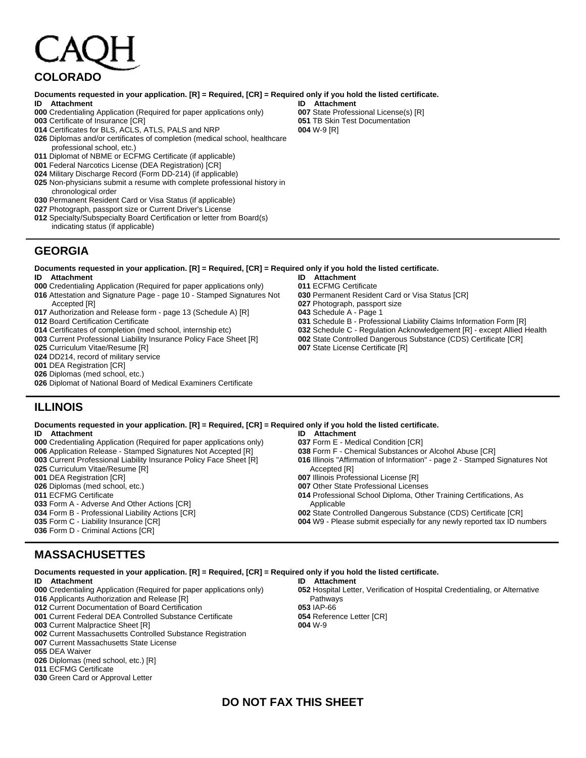# **COLORADO**

### **Documents requested in your application. [R] = Required, [CR] = Required only if you hold the listed certificate.**

- **ID Attachment**
- Credentialing Application (Required for paper applications only)
- Certificate of Insurance [CR]
- Certificates for BLS, ACLS, ATLS, PALS and NRP
- Diplomas and/or certificates of completion (medical school, healthcare professional school, etc.)
- Diplomat of NBME or ECFMG Certificate (if applicable)
- Federal Narcotics License (DEA Registration) [CR]
- Military Discharge Record (Form DD-214) (if applicable)
- Non-physicians submit a resume with complete professional history in chronological order
- Permanent Resident Card or Visa Status (if applicable)
- Photograph, passport size or Current Driver's License
- Specialty/Subspecialty Board Certification or letter from Board(s) indicating status (if applicable)

### **GEORGIA**

**Documents requested in your application. [R] = Required, [CR] = Required only if you hold the listed certificate.** 

- **ID Attachment**
- Credentialing Application (Required for paper applications only)
- Attestation and Signature Page page 10 Stamped Signatures Not Accepted [R]
- Authorization and Release form page 13 (Schedule A) [R]
- Board Certification Certificate
- Certificates of completion (med school, internship etc)
- Current Professional Liability Insurance Policy Face Sheet [R]
- Curriculum Vitae/Resume [R]
- DD214, record of military service
- DEA Registration [CR]
- Diplomas (med school, etc.)
- Diplomat of National Board of Medical Examiners Certificate

# **ILLINOIS**

### **Documents requested in your application. [R] = Required, [CR] = Required only if you hold the listed certificate.**

- **ID Attachment**  Credentialing Application (Required for paper applications only)
- Application Release Stamped Signatures Not Accepted [R]
- Current Professional Liability Insurance Policy Face Sheet [R]
- Curriculum Vitae/Resume [R]
- DEA Registration [CR]
- Diplomas (med school, etc.)
- ECFMG Certificate
- Form A Adverse And Other Actions [CR]
- Form B Professional Liability Actions [CR]
- Form C Liability Insurance [CR]
- Form D Criminal Actions [CR]

# **MASSACHUSETTES**

### **Documents requested in your application. [R] = Required, [CR] = Required only if you hold the listed certificate. ID Attachment ID Attachment**

- Credentialing Application (Required for paper applications only)
- Applicants Authorization and Release [R]
- Current Documentation of Board Certification
- Current Federal DEA Controlled Substance Certificate
- Current Malpractice Sheet [R]
- Current Massachusetts Controlled Substance Registration Current Massachusetts State License
- DEA Waiver
- Diplomas (med school, etc.) [R]
- ECFMG Certificate
- Green Card or Approval Letter

**ID Attachment**  State Professional License(s) [R] TB Skin Test Documentation W-9 [R]

- **ID Attachment**  ECFMG Certificate
- Permanent Resident Card or Visa Status [CR]
- Photograph, passport size
- Schedule A Page 1
- Schedule B Professional Liability Claims Information Form [R]
- Schedule C Regulation Acknowledgement [R] except Allied Health
- State Controlled Dangerous Substance (CDS) Certificate [CR]
- State License Certificate [R]
- **ID Attachment**  Form E - Medical Condition [CR] Form F - Chemical Substances or Alcohol Abuse [CR] Illinois "Affirmation of Information" - page 2 - Stamped Signatures Not Accepted [R] Illinois Professional License [R] Other State Professional Licenses Professional School Diploma, Other Training Certifications, As Applicable State Controlled Dangerous Substance (CDS) Certificate [CR] W9 - Please submit especially for any newly reported tax ID numbers

# **DO NOT FAX THIS SHEET**

Hospital Letter, Verification of Hospital Credentialing, or Alternative Pathways IAP-66 Reference Letter [CR] W-9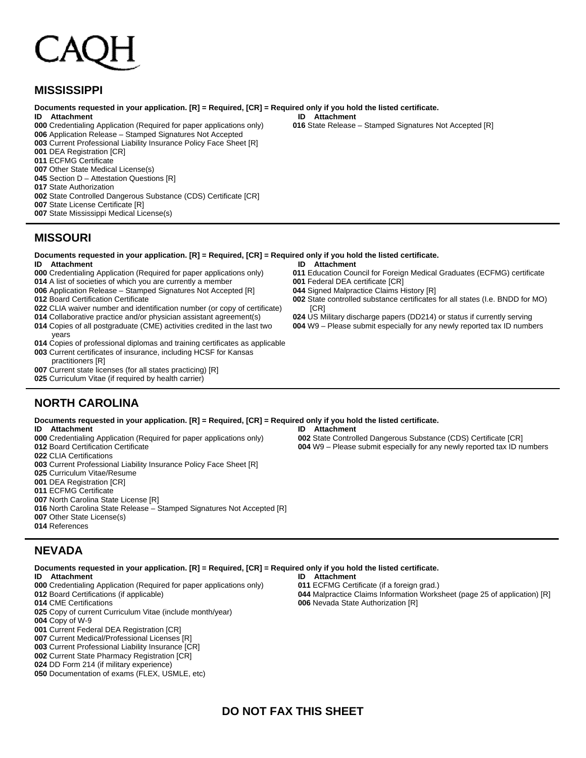### **MISSISSIPPI**

### **Documents requested in your application. [R] = Required, [CR] = Required only if you hold the listed certificate.**

- **ID Attachment**
- Credentialing Application (Required for paper applications only)
- Application Release Stamped Signatures Not Accepted
- Current Professional Liability Insurance Policy Face Sheet [R]
- DEA Registration [CR]
- ECFMG Certificate
- Other State Medical License(s)
- Section D Attestation Questions [R]
- State Authorization
- State Controlled Dangerous Substance (CDS) Certificate [CR]
- State License Certificate [R]
- State Mississippi Medical License(s)

### **MISSOURI**

**Documents requested in your application. [R] = Required, [CR] = Required only if you hold the listed certificate. ID Attachment ID Attachment** 

- Credentialing Application (Required for paper applications only)
- A list of societies of which you are currently a member
- Application Release Stamped Signatures Not Accepted [R]
- Board Certification Certificate
- CLIA waiver number and identification number (or copy of certificate)
- Collaborative practice and/or physician assistant agreement(s)
- Copies of all postgraduate (CME) activities credited in the last two
- years Copies of professional diplomas and training certificates as applicable
- Current certificates of insurance, including HCSF for Kansas
- practitioners [R]
- Current state licenses (for all states practicing) [R]
- Curriculum Vitae (if required by health carrier)

# **NORTH CAROLINA**

**Documents requested in your application. [R] = Required, [CR] = Required only if you hold the listed certificate. ID Attachment**  Credentialing Application (Required for paper applications only) Board Certification Certificate CLIA Certifications Current Professional Liability Insurance Policy Face Sheet [R] Curriculum Vitae/Resume DEA Registration [CR] ECFMG Certificate North Carolina State License [R] North Carolina State Release – Stamped Signatures Not Accepted [R] **ID Attachment** 

- Other State License(s)
- References

### **NEVADA**

**Documents requested in your application. [R] = Required, [CR] = Required only if you hold the listed certificate.** 

- **ID Attachment**
- Credentialing Application (Required for paper applications only)
- Board Certifications (if applicable)
- CME Certifications
- Copy of current Curriculum Vitae (include month/year)
- Copy of W-9
- Current Federal DEA Registration [CR]
- Current Medical/Professional Licenses [R]
- Current Professional Liability Insurance [CR]
- Current State Pharmacy Registration [CR]
- DD Form 214 (if military experience)
- Documentation of exams (FLEX, USMLE, etc)

State Controlled Dangerous Substance (CDS) Certificate [CR] W9 – Please submit especially for any newly reported tax ID numbers

Malpractice Claims Information Worksheet (page 25 of application) [R]

- Federal DEA certificate [CR] Signed Malpractice Claims History [R]
	- State controlled substance certificates for all states (I.e. BNDD for MO) [CR]

Education Council for Foreign Medical Graduates (ECFMG) certificate

- US Military discharge papers (DD214) or status if currently serving
- W9 Please submit especially for any newly reported tax ID numbers

**DO NOT FAX THIS SHEET** 

**ID Attachment** 

ECFMG Certificate (if a foreign grad.)

Nevada State Authorization [R]

**ID Attachment** 

State Release – Stamped Signatures Not Accepted [R]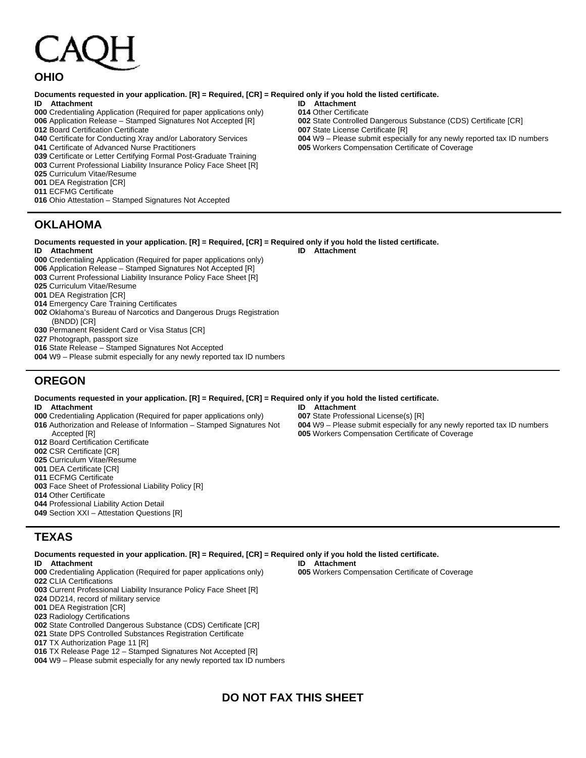# **OHIO**

### **Documents requested in your application. [R] = Required, [CR] = Required only if you hold the listed certificate.**

### **ID Attachment**

- Credentialing Application (Required for paper applications only)
- Application Release Stamped Signatures Not Accepted [R]
- Board Certification Certificate
- Certificate for Conducting Xray and/or Laboratory Services
- Certificate of Advanced Nurse Practitioners
- Certificate or Letter Certifying Formal Post-Graduate Training
- Current Professional Liability Insurance Policy Face Sheet [R]
- Curriculum Vitae/Resume
- DEA Registration [CR]
- ECFMG Certificate
- Ohio Attestation Stamped Signatures Not Accepted

# **OKLAHOMA**

**Documents requested in your application. [R] = Required, [CR] = Required only if you hold the listed certificate. ID Attachment ID Attachment** 

- Credentialing Application (Required for paper applications only)
- Application Release Stamped Signatures Not Accepted [R]
- Current Professional Liability Insurance Policy Face Sheet [R]
- Curriculum Vitae/Resume
- DEA Registration [CR]
- Emergency Care Training Certificates
- Oklahoma's Bureau of Narcotics and Dangerous Drugs Registration
- (BNDD) [CR]
- Permanent Resident Card or Visa Status [CR]
- Photograph, passport size
- State Release Stamped Signatures Not Accepted
- W9 Please submit especially for any newly reported tax ID numbers

# **OREGON**

### **Documents requested in your application. [R] = Required, [CR] = Required only if you hold the listed certificate.**

**ID Attachment** 

- Credentialing Application (Required for paper applications only)
- Authorization and Release of Information Stamped Signatures Not Accepted [R]
- Board Certification Certificate
- CSR Certificate [CR]
- Curriculum Vitae/Resume
- DEA Certificate [CR]
- ECFMG Certificate
- Face Sheet of Professional Liability Policy [R]
- Other Certificate
- Professional Liability Action Detail
- Section XXI Attestation Questions [R]

### **TEXAS**

**Documents requested in your application. [R] = Required, [CR] = Required only if you hold the listed certificate. ID Attachment** 

- Credentialing Application (Required for paper applications only)
- CLIA Certifications
- Current Professional Liability Insurance Policy Face Sheet [R]
- DD214, record of military service
- DEA Registration [CR]
- Radiology Certifications
- State Controlled Dangerous Substance (CDS) Certificate [CR]
- State DPS Controlled Substances Registration Certificate
- TX Authorization Page 11 [R]
- TX Release Page 12 Stamped Signatures Not Accepted [R]
- W9 Please submit especially for any newly reported tax ID numbers

### **ID Attachment**  Workers Compensation Certificate of Coverage

**ID Attachment**  State Professional License(s) [R]

- W9 Please submit especially for any newly reported tax ID numbers
- Workers Compensation Certificate of Coverage

**ID Attachment**  Other Certificate

State License Certificate [R]

W9 – Please submit especially for any newly reported tax ID numbers

State Controlled Dangerous Substance (CDS) Certificate [CR]

Workers Compensation Certificate of Coverage